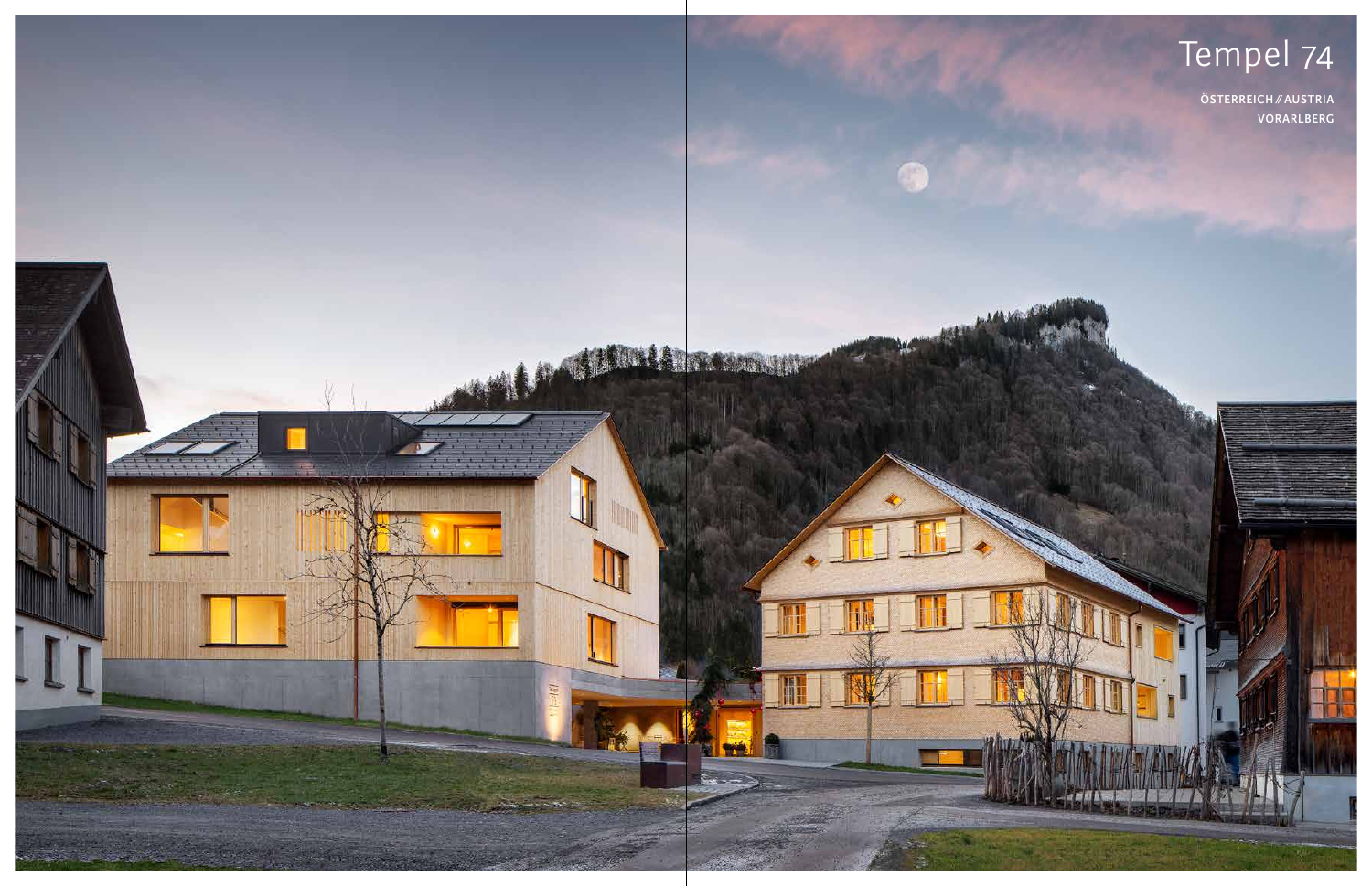

## Tempel 74

ÖSTERREICH // AUSTRIA VORARLBERG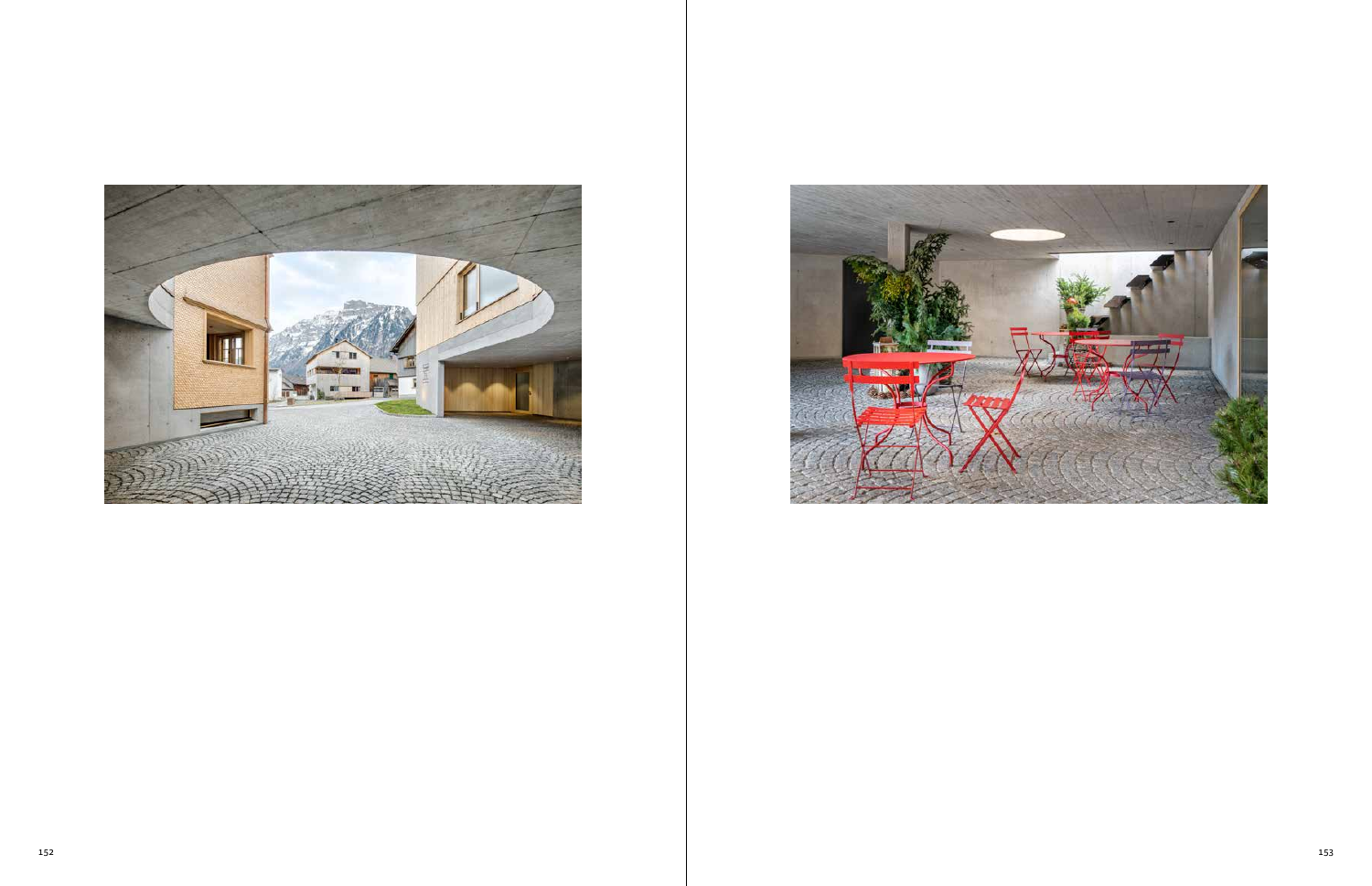

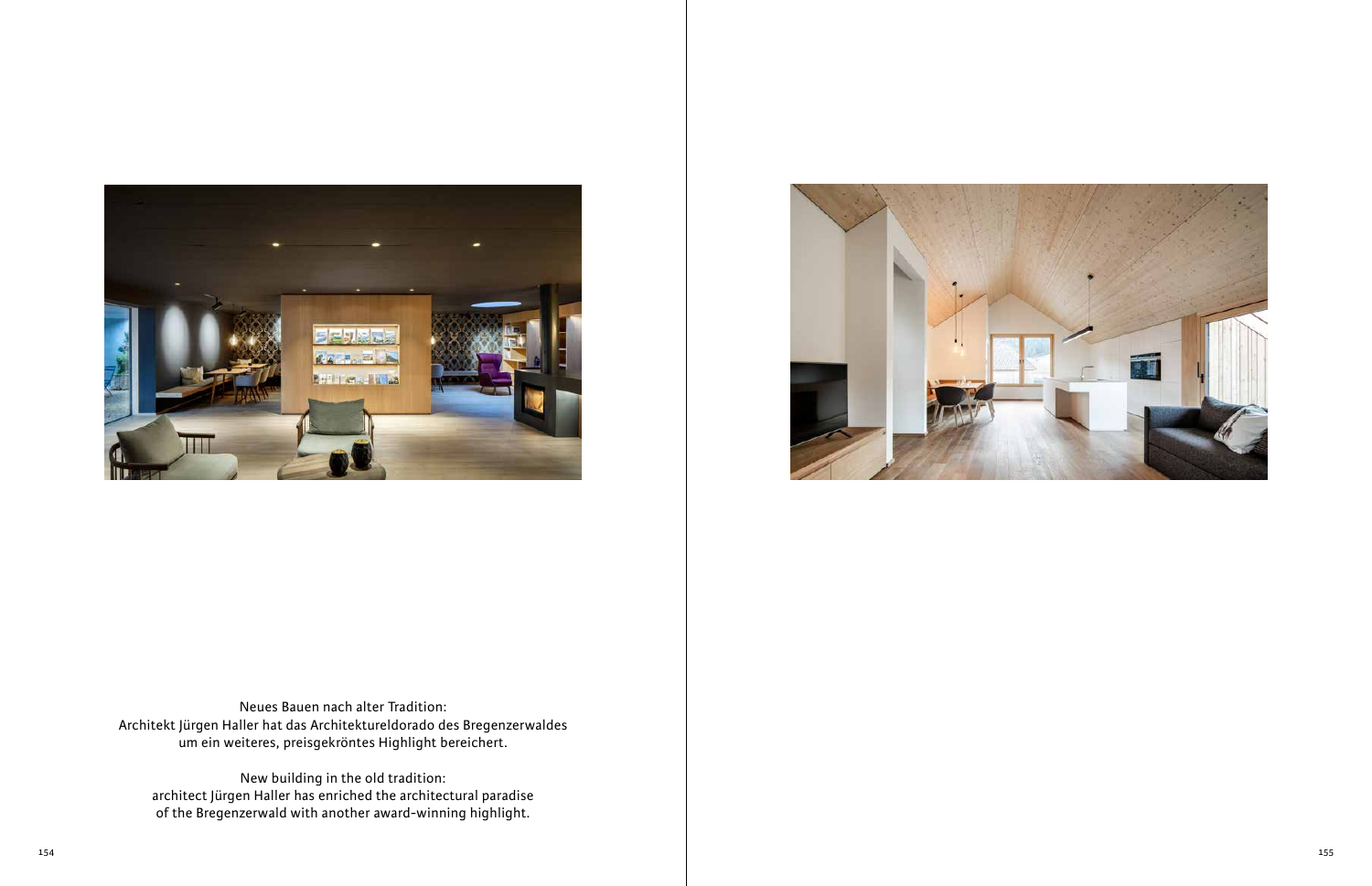

Neues Bauen nach alter Tradition: Architekt Jürgen Haller hat das Architektureldorado des Bregenzerwaldes um ein weiteres, preisgekröntes Highlight bereichert.

New building in the old tradition: architect Jürgen Haller has enriched the architectural paradise of the Bregenzerwald with another award-winning highlight.